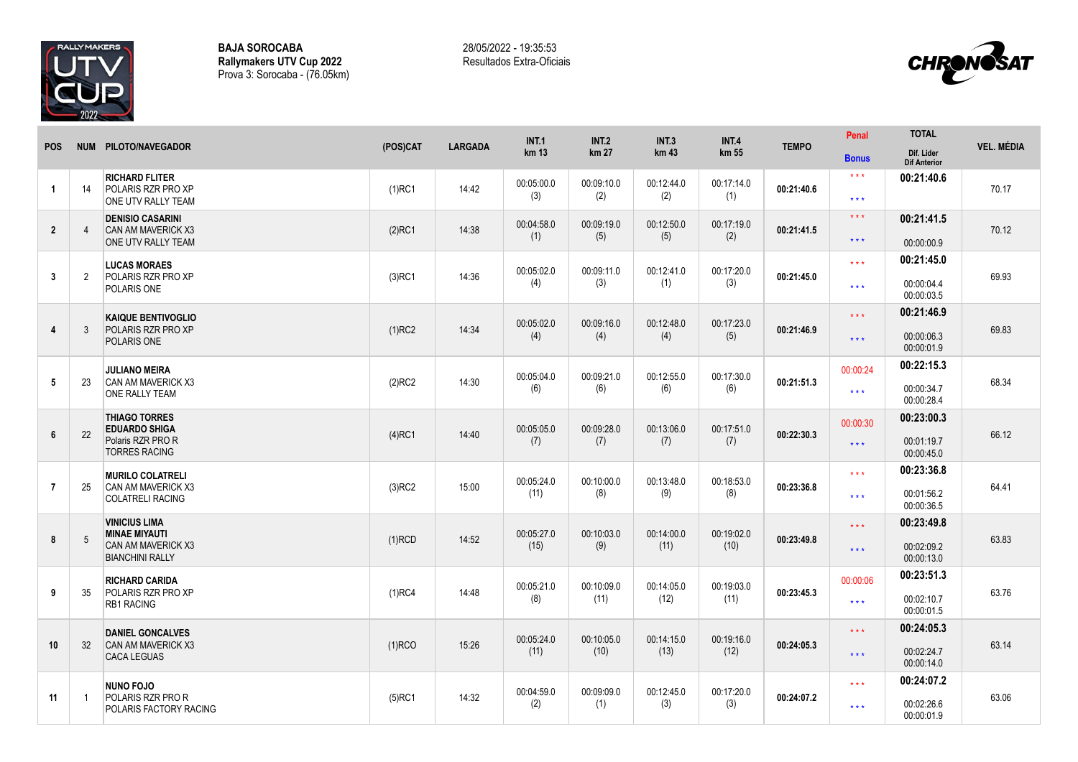

**BAJA SOROCABA Rallymakers UTV Cup 2022** Prova 3: Sorocaba - (76.05km) 28/05/2022 - 19:35:53 Resultados Extra-Oficiais



| <b>POS</b>     |    | NUM PILOTO/NAVEGADOR                                                            | (POS)CAT  | <b>LARGADA</b> | <b>INT.1</b><br>km 13 | <b>INT.2</b><br>km 27 | <b>INT.3</b><br>km 43 | <b>INT.4</b><br>km 55 | <b>TEMPO</b> | Penal               | <b>TOTAL</b>                      | <b>VEL. MÉDIA</b> |
|----------------|----|---------------------------------------------------------------------------------|-----------|----------------|-----------------------|-----------------------|-----------------------|-----------------------|--------------|---------------------|-----------------------------------|-------------------|
|                |    |                                                                                 |           |                |                       |                       |                       |                       |              | <b>Bonus</b>        | Dif. Lider<br><b>Dif Anterior</b> |                   |
| $\overline{1}$ | 14 | <b>RICHARD FLITER</b><br><b>POLARIS RZR PRO XP</b>                              | $(1)$ RC1 | 14:42          | 00:05:00.0            | 00:09:10.0            | 00:12:44.0            | 00:17:14.0            | 00:21:40.6   | $***$               | 00:21:40.6                        | 70.17             |
|                |    | ONE UTV RALLY TEAM                                                              |           |                | (3)                   | (2)                   | (2)                   | (1)                   |              | $***$               |                                   |                   |
| $\overline{2}$ | 4  | <b>DENISIO CASARINI</b><br><b>CAN AM MAVERICK X3</b><br>ONE UTV RALLY TEAM      | $(2)$ RC1 | 14:38          | 00:04:58.0<br>(1)     | 00:09:19.0<br>(5)     | 00:12:50.0<br>(5)     | 00:17:19.0<br>(2)     | 00:21:41.5   | $\star\star\star$   | 00:21:41.5                        | 70.12             |
|                |    |                                                                                 |           |                |                       |                       |                       |                       |              | $***$               | 00:00:00.9                        |                   |
|                |    | <b>LUCAS MORAES</b><br><b>POLARIS RZR PRO XP</b><br>POLARIS ONE                 | $(3)$ RC1 | 14:36          | 00:05:02.0<br>(4)     | 00:09:11.0<br>(3)     | 00:12:41.0<br>(1)     | 00:17:20.0            |              | $***$               | 00:21:45.0                        |                   |
| 3              | 2  |                                                                                 |           |                |                       |                       |                       | (3)                   | 00:21:45.0   | $***$               | 00:00:04.4<br>00:00:03.5          | 69.93             |
|                |    | <b>KAIQUE BENTIVOGLIO</b><br>POLARIS RZR PRO XP<br>POLARIS ONE                  | $(1)$ RC2 | 14:34          | 00:05:02.0<br>(4)     | 00:09:16.0<br>(4)     |                       |                       |              | $***$               | 00:21:46.9                        |                   |
| $\overline{4}$ | 3  |                                                                                 |           |                |                       |                       | 00:12:48.0<br>(4)     | 00:17:23.0<br>(5)     | 00:21:46.9   | $\star\star\star$   | 00:00:06.3<br>00:00:01.9          | 69.83             |
|                |    | <b>JULIANO MEIRA</b>                                                            |           |                |                       |                       |                       |                       | 00:21:51.3   | 00:00:24            | 00:22:15.3                        |                   |
| 5              | 23 | <b>CAN AM MAVERICK X3</b><br>ONE RALLY TEAM                                     | $(2)$ RC2 | 14:30          | 00:05:04.0<br>(6)     | 00:09:21.0<br>(6)     | 00:12:55.0<br>(6)     | 00:17:30.0<br>(6)     |              | $\star \star \star$ | 00:00:34.7<br>00:00:28.4          | 68.34             |
|                |    | <b>THIAGO TORRES</b>                                                            |           |                |                       | 00:09:28.0            |                       | 00:17:51.0            |              | 00:00:30            | 00:23:00.3                        |                   |
| 6              | 22 | <b>EDUARDO SHIGA</b><br>Polaris RZR PRO R<br><b>TORRES RACING</b>               | $(4)$ RC1 | 14:40          | 00:05:05.0<br>(7)     | (7)                   | 00:13:06.0<br>(7)     | (7)                   | 00:22:30.3   | $***$               | 00:01:19.7<br>00:00:45.0          | 66.12             |
|                |    | <b>MURILO COLATRELI</b><br><b>CAN AM MAVERICK X3</b><br><b>COLATRELI RACING</b> | $(3)$ RC2 | 15:00          | 00:05:24.0<br>(11)    | 00:10:00.0<br>(8)     | 00:13:48.0<br>(9)     | 00:18:53.0<br>(8)     | 00:23:36.8   | $***$               | 00:23:36.8                        | 64.41             |
| $\overline{7}$ | 25 |                                                                                 |           |                |                       |                       |                       |                       |              | $***$               | 00:01:56.2                        |                   |
|                |    | <b>VINICIUS LIMA</b>                                                            |           |                |                       |                       |                       |                       |              |                     | 00:00:36.5<br>00:23:49.8          |                   |
| 8              | 5  | <b>MINAE MIYAUTI</b><br>CAN AM MAVERICK X3<br><b>BIANCHINI RALLY</b>            | $(1)$ RCD | 14:52          | 00:05:27.0<br>(15)    | 00:10:03.0<br>(9)     | 00:14:00.0<br>(11)    | 00:19:02.0<br>(10)    | 00:23:49.8   | $***$               |                                   | 63.83             |
|                |    |                                                                                 |           |                |                       |                       |                       |                       |              | $\star\star\star$   | 00:02:09.2<br>00:00:13.0          |                   |
|                |    | <b>RICHARD CARIDA</b><br><b>POLARIS RZR PRO XP</b><br><b>RB1 RACING</b>         | $(1)$ RC4 | 14:48          | 00:05:21.0            | 00:10:09.0<br>(11)    | 00:14:05.0<br>(12)    | 00:19:03.0<br>(11)    | 00:23:45.3   | 00:00:06            | 00:23:51.3                        |                   |
| 9              | 35 |                                                                                 |           |                | (8)                   |                       |                       |                       |              | $***$               | 00:02:10.7<br>00:00:01.5          | 63.76             |
|                |    | <b>DANIEL GONCALVES</b><br><b>CAN AM MAVERICK X3</b><br><b>CACA LEGUAS</b>      | $(1)$ RCO | 15:26          | 00:05:24.0<br>(11)    |                       |                       | 00:19:16.0<br>(12)    | 00:24:05.3   | $***$               | 00:24:05.3                        |                   |
| 10             | 32 |                                                                                 |           |                |                       | 00:10:05.0<br>(10)    | 00:14:15.0<br>(13)    |                       |              | $***$               | 00:02:24.7                        | 63.14             |
|                |    |                                                                                 |           |                |                       |                       |                       |                       |              |                     | 00:00:14.0                        |                   |
|                |    | <b>NUNO FOJO</b><br><b>POLARIS RZR PRO R</b><br>POLARIS FACTORY RACING          | $(5)$ RC1 | 14:32          | 00:04:59.0            | 00:09:09.0            | 00:12:45.0            | 00:17:20.0            |              | $\star \star \star$ | 00:24:07.2                        | 63.06             |
| 11             | -1 |                                                                                 |           |                | (2)                   | (1)                   | (3)                   | (3)                   | 00:24:07.2   | $\star\star\star$   | 00:02:26.6<br>00:00:01.9          |                   |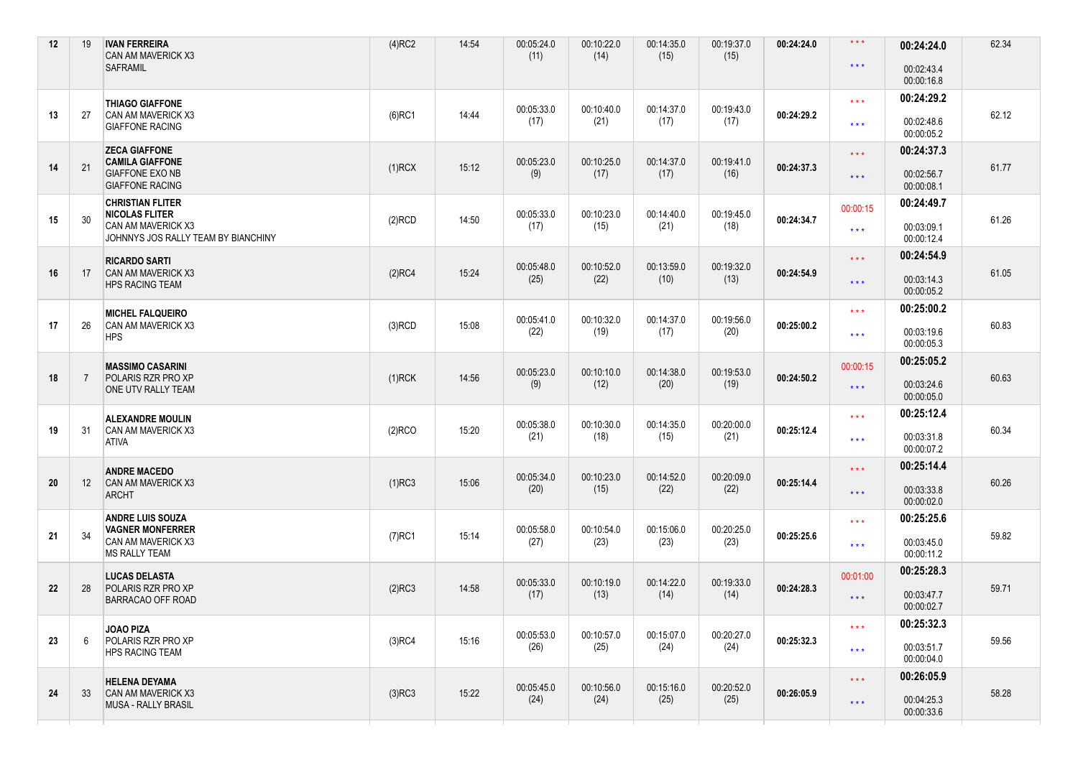| 12 | 19              | <b>IVAN FERREIRA</b><br>CAN AM MAVERICK X3<br><b>SAFRAMIL</b>                                                 | $(4)$ RC2 | 14:54 | 00:05:24.0<br>(11) | 00:10:22.0<br>(14) | 00:14:35.0<br>(15) | 00:19:37.0<br>(15) | 00:24:24.0 | $\star\star\star$<br>$\star$ $\star$ $\star$ | 00:24:24.0<br>00:02:43.4               | 62.34 |
|----|-----------------|---------------------------------------------------------------------------------------------------------------|-----------|-------|--------------------|--------------------|--------------------|--------------------|------------|----------------------------------------------|----------------------------------------|-------|
|    |                 |                                                                                                               |           |       |                    |                    |                    |                    |            |                                              | 00:00:16.8<br>00:24:29.2               |       |
| 13 | 27              | <b>THIAGO GIAFFONE</b><br>CAN AM MAVERICK X3<br><b>GIAFFONE RACING</b>                                        | $(6)$ RC1 | 14:44 | 00:05:33.0<br>(17) | 00:10:40.0<br>(21) | 00:14:37.0<br>(17) | 00:19:43.0<br>(17) | 00:24:29.2 | $\star\star\star$<br>$***$                   | 00:02:48.6<br>00:00:05.2               | 62.12 |
| 14 | 21              | <b>ZECA GIAFFONE</b><br><b>CAMILA GIAFFONE</b><br><b>GIAFFONE EXO NB</b><br><b>GIAFFONE RACING</b>            | $(1)$ RCX | 15:12 | 00:05:23.0<br>(9)  | 00:10:25.0<br>(17) | 00:14:37.0<br>(17) | 00:19:41.0<br>(16) | 00:24:37.3 | $***$<br>$***$                               | 00:24:37.3<br>00:02:56.7<br>00:00:08.1 | 61.77 |
| 15 | 30              | <b>CHRISTIAN FLITER</b><br><b>NICOLAS FLITER</b><br>CAN AM MAVERICK X3<br>JOHNNYS JOS RALLY TEAM BY BIANCHINY | $(2)$ RCD | 14:50 | 00:05:33.0<br>(17) | 00:10:23.0<br>(15) | 00:14:40.0<br>(21) | 00:19:45.0<br>(18) | 00:24:34.7 | 00:00:15<br>$***$                            | 00:24:49.7<br>00:03:09.1<br>00:00:12.4 | 61.26 |
| 16 | 17              | <b>RICARDO SARTI</b><br><b>CAN AM MAVERICK X3</b><br><b>HPS RACING TEAM</b>                                   | $(2)$ RC4 | 15:24 | 00:05:48.0<br>(25) | 00:10:52.0<br>(22) | 00:13:59.0<br>(10) | 00:19:32.0<br>(13) | 00:24:54.9 | $***$<br>$\star \star \star$                 | 00:24:54.9<br>00:03:14.3<br>00:00:05.2 | 61.05 |
| 17 | 26              | <b>MICHEL FALQUEIRO</b><br>CAN AM MAVERICK X3<br><b>HPS</b>                                                   | $(3)$ RCD | 15:08 | 00:05:41.0<br>(22) | 00:10:32.0<br>(19) | 00:14:37.0<br>(17) | 00:19:56.0<br>(20) | 00:25:00.2 | $\star\star\star$<br>$***$                   | 00:25:00.2<br>00:03:19.6<br>00:00:05.3 | 60.83 |
| 18 | 7               | <b>MASSIMO CASARINI</b><br><b>POLARIS RZR PRO XP</b><br>ONE UTV RALLY TEAM                                    | $(1)$ RCK | 14:56 | 00:05:23.0<br>(9)  | 00:10:10.0<br>(12) | 00:14:38.0<br>(20) | 00:19:53.0<br>(19) | 00:24:50.2 | 00:00:15<br>$\star\star\star$                | 00:25:05.2<br>00:03:24.6<br>00:00:05.0 | 60.63 |
| 19 | 31              | <b>ALEXANDRE MOULIN</b><br>CAN AM MAVERICK X3<br>ATIVA                                                        | $(2)$ RCO | 15:20 | 00:05:38.0<br>(21) | 00:10:30.0<br>(18) | 00:14:35.0<br>(15) | 00:20:00.0<br>(21) | 00:25:12.4 | $\star$ $\star$ $\star$<br>$***$             | 00:25:12.4<br>00:03:31.8<br>00:00:07.2 | 60.34 |
| 20 | 12 <sup>2</sup> | <b>ANDRE MACEDO</b><br>CAN AM MAVERICK X3<br>ARCHT                                                            | $(1)$ RC3 | 15:06 | 00:05:34.0<br>(20) | 00:10:23.0<br>(15) | 00:14:52.0<br>(22) | 00:20:09.0<br>(22) | 00:25:14.4 | $***$<br>$\star\star\star$                   | 00:25:14.4<br>00:03:33.8<br>00:00:02.0 | 60.26 |
| 21 | 34              | <b>ANDRE LUIS SOUZA</b><br><b>VAGNER MONFERRER</b><br>CAN AM MAVERICK X3<br><b>MS RALLY TEAM</b>              | $(7)$ RC1 | 15:14 | 00:05:58.0<br>(27) | 00:10:54.0<br>(23) | 00:15:06.0<br>(23) | 00:20:25.0<br>(23) | 00:25:25.6 | $\star\star\star$<br>$***$                   | 00:25:25.6<br>00:03:45.0<br>00:00:11.2 | 59.82 |
| 22 | 28              | <b>LUCAS DELASTA</b><br><b>POLARIS RZR PRO XP</b><br>BARRACAO OFF ROAD                                        | $(2)$ RC3 | 14:58 | 00:05:33.0<br>(17) | 00:10:19.0<br>(13) | 00:14:22.0<br>(14) | 00:19:33.0<br>(14) | 00:24:28.3 | 00:01:00<br>$***$                            | 00:25:28.3<br>00:03:47.7<br>00:00:02.7 | 59.71 |
| 23 | 6               | <b>JOAO PIZA</b><br>POLARIS RZR PRO XP<br><b>HPS RACING TEAM</b>                                              | $(3)$ RC4 | 15:16 | 00:05:53.0<br>(26) | 00:10:57.0<br>(25) | 00:15:07.0<br>(24) | 00:20:27.0<br>(24) | 00:25:32.3 | $\star\star\star$<br>$\star\star\star$       | 00:25:32.3<br>00:03:51.7<br>00:00:04.0 | 59.56 |
|    |                 | <b>HELENA DEYAMA</b>                                                                                          |           |       |                    |                    |                    |                    |            | $***$                                        | 00:26:05.9                             |       |
| 24 | 33              | CAN AM MAVERICK X3<br><b>MUSA - RALLY BRASIL</b>                                                              | $(3)$ RC3 | 15:22 | 00:05:45.0<br>(24) | 00:10:56.0<br>(24) | 00:15:16.0<br>(25) | 00:20:52.0<br>(25) | 00:26:05.9 | $***$                                        | 00:04:25.3<br>00:00:33.6               | 58.28 |